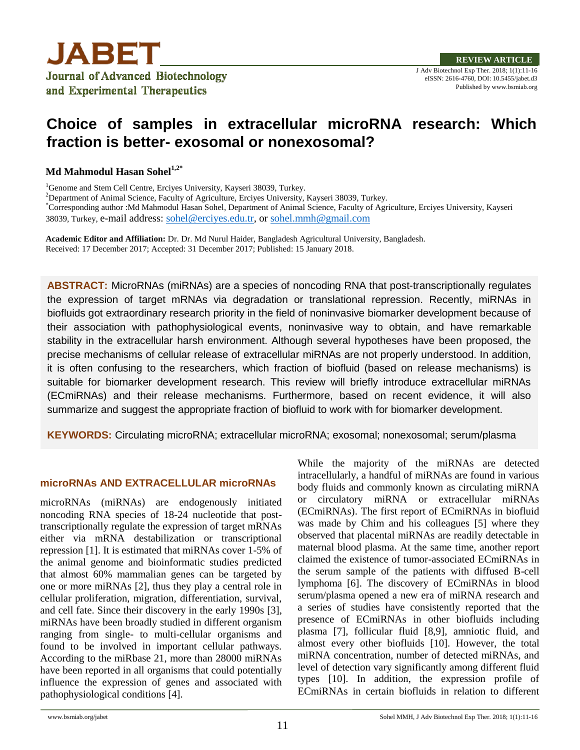

# **Choice of samples in extracellular microRNA research: Which fraction is better- exosomal or nonexosomal?**

**Md Mahmodul Hasan Sohel1,2\***

<sup>1</sup>Genome and Stem Cell Centre, Erciyes University, Kayseri 38039, Turkey.

<sup>2</sup>Department of Animal Science, Faculty of Agriculture, Erciyes University, Kayseri 38039, Turkey.

\*Corresponding author :Md Mahmodul Hasan Sohel, Department of Animal Science, Faculty of Agriculture, Erciyes University, Kayseri 38039, Turkey, e-mail address: [sohel@erciyes.edu.tr,](mailto:sohel@erciyes.edu.tr) or [sohel.mmh@gmail.com](mailto:sohel.mmh@gmail.com)

**Academic Editor and Affiliation:** Dr. Dr. Md Nurul Haider, Bangladesh Agricultural University, Bangladesh. Received: 17 December 2017; Accepted: 31 December 2017; Published: 15 January 2018.

**ABSTRACT:** MicroRNAs (miRNAs) are a species of noncoding RNA that post-transcriptionally regulates the expression of target mRNAs via degradation or translational repression. Recently, miRNAs in biofluids got extraordinary research priority in the field of noninvasive biomarker development because of their association with pathophysiological events, noninvasive way to obtain, and have remarkable stability in the extracellular harsh environment. Although several hypotheses have been proposed, the precise mechanisms of cellular release of extracellular miRNAs are not properly understood. In addition, it is often confusing to the researchers, which fraction of biofluid (based on release mechanisms) is suitable for biomarker development research. This review will briefly introduce extracellular miRNAs (ECmiRNAs) and their release mechanisms. Furthermore, based on recent evidence, it will also summarize and suggest the appropriate fraction of biofluid to work with for biomarker development.

**KEYWORDS:** Circulating microRNA; extracellular microRNA; exosomal; nonexosomal; serum/plasma

### **microRNAs AND EXTRACELLULAR microRNAs**

microRNAs (miRNAs) are endogenously initiated noncoding RNA species of 18-24 nucleotide that posttranscriptionally regulate the expression of target mRNAs either via mRNA destabilization or transcriptional repression [1]. It is estimated that miRNAs cover 1-5% of the animal genome and bioinformatic studies predicted that almost 60% mammalian genes can be targeted by one or more miRNAs [2], thus they play a central role in cellular proliferation, migration, differentiation, survival, and cell fate. Since their discovery in the early 1990s [3], miRNAs have been broadly studied in different organism ranging from single- to multi-cellular organisms and found to be involved in important cellular pathways. According to the miRbase 21, more than 28000 miRNAs have been reported in all organisms that could potentially influence the expression of genes and associated with pathophysiological conditions [4].

While the majority of the miRNAs are detected intracellularly, a handful of miRNAs are found in various body fluids and commonly known as circulating miRNA or circulatory miRNA or extracellular miRNAs (ECmiRNAs). The first report of ECmiRNAs in biofluid was made by Chim and his colleagues [5] where they observed that placental miRNAs are readily detectable in maternal blood plasma. At the same time, another report claimed the existence of tumor-associated ECmiRNAs in the serum sample of the patients with diffused B-cell lymphoma [6]. The discovery of ECmiRNAs in blood serum/plasma opened a new era of miRNA research and a series of studies have consistently reported that the presence of ECmiRNAs in other biofluids including plasma [7], follicular fluid [8,9], amniotic fluid, and almost every other biofluids [10]. However, the total miRNA concentration, number of detected miRNAs, and level of detection vary significantly among different fluid types [10]. In addition, the expression profile of ECmiRNAs in certain biofluids in relation to different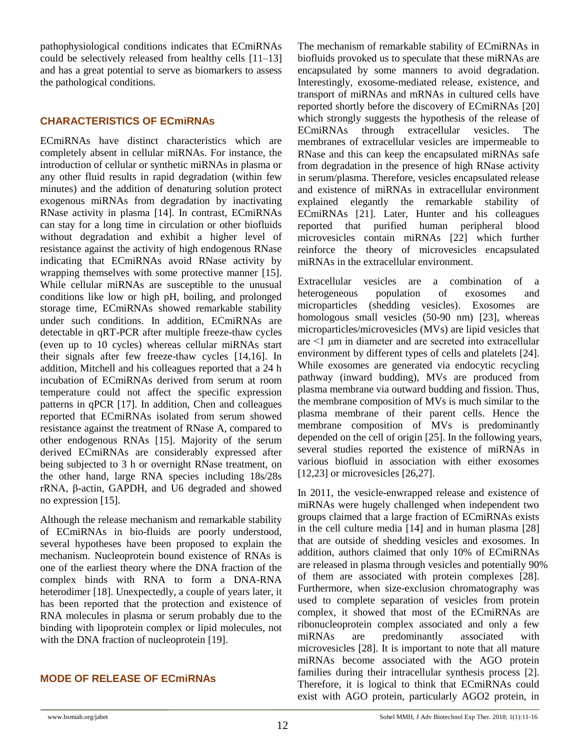pathophysiological conditions indicates that ECmiRNAs could be selectively released from healthy cells [11–13] and has a great potential to serve as biomarkers to assess the pathological conditions.

### **CHARACTERISTICS OF ECmiRNAs**

ECmiRNAs have distinct characteristics which are completely absent in cellular miRNAs. For instance, the introduction of cellular or synthetic miRNAs in plasma or any other fluid results in rapid degradation (within few minutes) and the addition of denaturing solution protect exogenous miRNAs from degradation by inactivating RNase activity in plasma [14]. In contrast, ECmiRNAs can stay for a long time in circulation or other biofluids without degradation and exhibit a higher level of resistance against the activity of high endogenous RNase indicating that ECmiRNAs avoid RNase activity by wrapping themselves with some protective manner [15]. While cellular miRNAs are susceptible to the unusual conditions like low or high pH, boiling, and prolonged storage time, ECmiRNAs showed remarkable stability under such conditions. In addition, ECmiRNAs are detectable in qRT-PCR after multiple freeze-thaw cycles (even up to 10 cycles) whereas cellular miRNAs start their signals after few freeze-thaw cycles [14,16]. In addition, Mitchell and his colleagues reported that a 24 h incubation of ECmiRNAs derived from serum at room temperature could not affect the specific expression patterns in qPCR [17]. In addition, Chen and colleagues reported that ECmiRNAs isolated from serum showed resistance against the treatment of RNase A, compared to other endogenous RNAs [15]. Majority of the serum derived ECmiRNAs are considerably expressed after being subjected to 3 h or overnight RNase treatment, on the other hand, large RNA species including 18s/28s rRNA, β-actin, GAPDH, and U6 degraded and showed no expression [15].

Although the release mechanism and remarkable stability of ECmiRNAs in bio-fluids are poorly understood, several hypotheses have been proposed to explain the mechanism. Nucleoprotein bound existence of RNAs is one of the earliest theory where the DNA fraction of the complex binds with RNA to form a DNA-RNA heterodimer [18]. Unexpectedly, a couple of years later, it has been reported that the protection and existence of RNA molecules in plasma or serum probably due to the binding with lipoprotein complex or lipid molecules, not with the DNA fraction of nucleoprotein [19].

### **MODE OF RELEASE OF ECmiRNAs**

The mechanism of remarkable stability of ECmiRNAs in biofluids provoked us to speculate that these miRNAs are encapsulated by some manners to avoid degradation. Interestingly, exosome-mediated release, existence, and transport of miRNAs and mRNAs in cultured cells have reported shortly before the discovery of ECmiRNAs [20] which strongly suggests the hypothesis of the release of ECmiRNAs through extracellular vesicles. The membranes of extracellular vesicles are impermeable to RNase and this can keep the encapsulated miRNAs safe from degradation in the presence of high RNase activity in serum/plasma. Therefore, vesicles encapsulated release and existence of miRNAs in extracellular environment explained elegantly the remarkable stability of ECmiRNAs [21]. Later, Hunter and his colleagues reported that purified human peripheral blood microvesicles contain miRNAs [22] which further reinforce the theory of microvesicles encapsulated miRNAs in the extracellular environment.

Extracellular vesicles are a combination of a heterogeneous population of exosomes and microparticles (shedding vesicles). Exosomes are homologous small vesicles (50-90 nm) [23], whereas microparticles/microvesicles (MVs) are lipid vesicles that are <1 μm in diameter and are secreted into extracellular environment by different types of cells and platelets [24]. While exosomes are generated via endocytic recycling pathway (inward budding), MVs are produced from plasma membrane via outward budding and fission. Thus, the membrane composition of MVs is much similar to the plasma membrane of their parent cells. Hence the membrane composition of MVs is predominantly depended on the cell of origin [25]. In the following years, several studies reported the existence of miRNAs in various biofluid in association with either exosomes [12,23] or microvesicles [26,27].

In 2011, the vesicle-enwrapped release and existence of miRNAs were hugely challenged when independent two groups claimed that a large fraction of ECmiRNAs exists in the cell culture media [14] and in human plasma [28] that are outside of shedding vesicles and exosomes. In addition, authors claimed that only 10% of ECmiRNAs are released in plasma through vesicles and potentially 90% of them are associated with protein complexes [28]. Furthermore, when size-exclusion chromatography was used to complete separation of vesicles from protein complex, it showed that most of the ECmiRNAs are ribonucleoprotein complex associated and only a few miRNAs are predominantly associated with microvesicles [28]. It is important to note that all mature miRNAs become associated with the AGO protein families during their intracellular synthesis process [2]. Therefore, it is logical to think that ECmiRNAs could exist with AGO protein, particularly AGO2 protein, in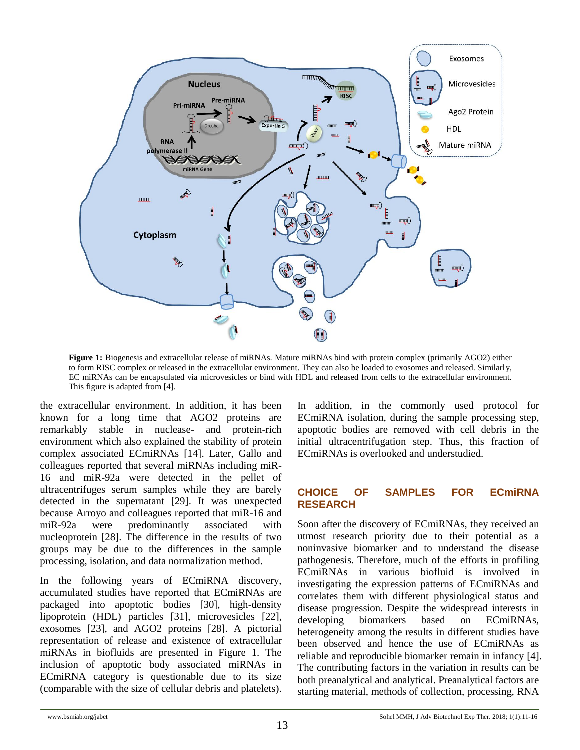

**Figure 1:** Biogenesis and extracellular release of miRNAs. Mature miRNAs bind with protein complex (primarily AGO2) either to form RISC complex or released in the extracellular environment. They can also be loaded to exosomes and released. Similarly, EC miRNAs can be encapsulated via microvesicles or bind with HDL and released from cells to the extracellular environment. This figure is adapted from [4].

the extracellular environment. In addition, it has been known for a long time that AGO2 proteins are remarkably stable in nuclease- and protein-rich environment which also explained the stability of protein complex associated ECmiRNAs [14]. Later, Gallo and colleagues reported that several miRNAs including miR-16 and miR-92a were detected in the pellet of ultracentrifuges serum samples while they are barely detected in the supernatant [29]. It was unexpected because Arroyo and colleagues reported that miR-16 and miR-92a were predominantly associated with nucleoprotein [28]. The difference in the results of two groups may be due to the differences in the sample processing, isolation, and data normalization method.

In the following years of ECmiRNA discovery, accumulated studies have reported that ECmiRNAs are packaged into apoptotic bodies [30], high-density lipoprotein (HDL) particles [31], microvesicles [22], exosomes [23], and AGO2 proteins [28]. A pictorial representation of release and existence of extracellular miRNAs in biofluids are presented in Figure 1. The inclusion of apoptotic body associated miRNAs in ECmiRNA category is questionable due to its size (comparable with the size of cellular debris and platelets). In addition, in the commonly used protocol for ECmiRNA isolation, during the sample processing step, apoptotic bodies are removed with cell debris in the initial ultracentrifugation step. Thus, this fraction of ECmiRNAs is overlooked and understudied.

### **CHOICE OF SAMPLES FOR ECmiRNA RESEARCH**

Soon after the discovery of ECmiRNAs, they received an utmost research priority due to their potential as a noninvasive biomarker and to understand the disease pathogenesis. Therefore, much of the efforts in profiling ECmiRNAs in various biofluid is involved in investigating the expression patterns of ECmiRNAs and correlates them with different physiological status and disease progression. Despite the widespread interests in developing biomarkers based on ECmiRNAs, heterogeneity among the results in different studies have been observed and hence the use of ECmiRNAs as reliable and reproducible biomarker remain in infancy [4]. The contributing factors in the variation in results can be both preanalytical and analytical. Preanalytical factors are starting material, methods of collection, processing, RNA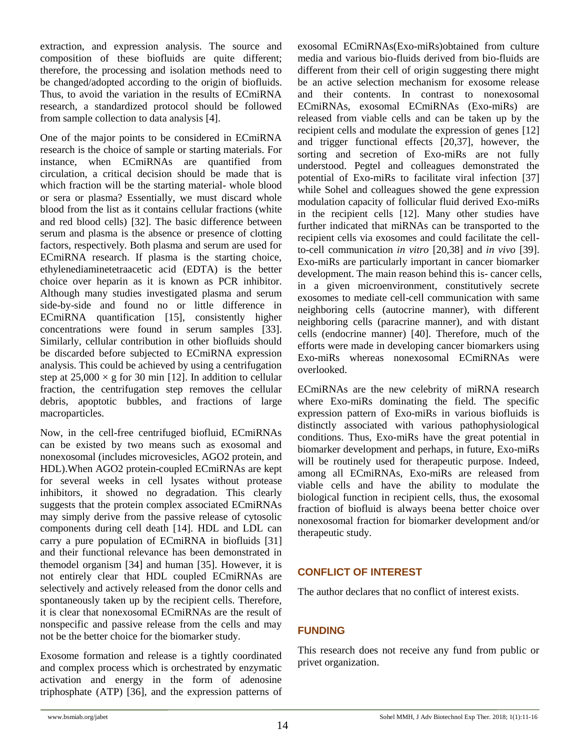extraction, and expression analysis. The source and composition of these biofluids are quite different; therefore, the processing and isolation methods need to be changed/adopted according to the origin of biofluids. Thus, to avoid the variation in the results of ECmiRNA research, a standardized protocol should be followed from sample collection to data analysis [4].

One of the major points to be considered in ECmiRNA research is the choice of sample or starting materials. For instance, when ECmiRNAs are quantified from circulation, a critical decision should be made that is which fraction will be the starting material- whole blood or sera or plasma? Essentially, we must discard whole blood from the list as it contains cellular fractions (white and red blood cells) [32]. The basic difference between serum and plasma is the absence or presence of clotting factors, respectively. Both plasma and serum are used for ECmiRNA research. If plasma is the starting choice, ethylenediaminetetraacetic acid (EDTA) is the better choice over heparin as it is known as PCR inhibitor. Although many studies investigated plasma and serum side-by-side and found no or little difference in ECmiRNA quantification [15], consistently higher concentrations were found in serum samples [33]. Similarly, cellular contribution in other biofluids should be discarded before subjected to ECmiRNA expression analysis. This could be achieved by using a centrifugation step at  $25,000 \times$  g for 30 min [12]. In addition to cellular fraction, the centrifugation step removes the cellular debris, apoptotic bubbles, and fractions of large macroparticles.

Now, in the cell-free centrifuged biofluid, ECmiRNAs can be existed by two means such as exosomal and nonexosomal (includes microvesicles, AGO2 protein, and HDL).When AGO2 protein-coupled ECmiRNAs are kept for several weeks in cell lysates without protease inhibitors, it showed no degradation. This clearly suggests that the protein complex associated ECmiRNAs may simply derive from the passive release of cytosolic components during cell death [14]. HDL and LDL can carry a pure population of ECmiRNA in biofluids [31] and their functional relevance has been demonstrated in themodel organism [34] and human [35]. However, it is not entirely clear that HDL coupled ECmiRNAs are selectively and actively released from the donor cells and spontaneously taken up by the recipient cells. Therefore, it is clear that nonexosomal ECmiRNAs are the result of nonspecific and passive release from the cells and may not be the better choice for the biomarker study.

Exosome formation and release is a tightly coordinated and complex process which is orchestrated by enzymatic activation and energy in the form of adenosine triphosphate (ATP) [36], and the expression patterns of exosomal ECmiRNAs(Exo-miRs)obtained from culture media and various bio-fluids derived from bio-fluids are different from their cell of origin suggesting there might be an active selection mechanism for exosome release and their contents. In contrast to nonexosomal ECmiRNAs, exosomal ECmiRNAs (Exo-miRs) are released from viable cells and can be taken up by the recipient cells and modulate the expression of genes [12] and trigger functional effects [20,37], however, the sorting and secretion of Exo-miRs are not fully understood. Pegtel and colleagues demonstrated the potential of Exo-miRs to facilitate viral infection [37] while Sohel and colleagues showed the gene expression modulation capacity of follicular fluid derived Exo-miRs in the recipient cells [12]. Many other studies have further indicated that miRNAs can be transported to the recipient cells via exosomes and could facilitate the cellto-cell communication *in vitro* [20,38] and *in vivo* [39]. Exo-miRs are particularly important in cancer biomarker development. The main reason behind this is- cancer cells, in a given microenvironment, constitutively secrete exosomes to mediate cell-cell communication with same neighboring cells (autocrine manner), with different neighboring cells (paracrine manner), and with distant cells (endocrine manner) [40]. Therefore, much of the efforts were made in developing cancer biomarkers using Exo-miRs whereas nonexosomal ECmiRNAs were overlooked.

ECmiRNAs are the new celebrity of miRNA research where Exo-miRs dominating the field. The specific expression pattern of Exo-miRs in various biofluids is distinctly associated with various pathophysiological conditions. Thus, Exo-miRs have the great potential in biomarker development and perhaps, in future, Exo-miRs will be routinely used for therapeutic purpose. Indeed, among all ECmiRNAs, Exo-miRs are released from viable cells and have the ability to modulate the biological function in recipient cells, thus, the exosomal fraction of biofluid is always beena better choice over nonexosomal fraction for biomarker development and/or therapeutic study.

## **CONFLICT OF INTEREST**

The author declares that no conflict of interest exists.

## **FUNDING**

This research does not receive any fund from public or privet organization.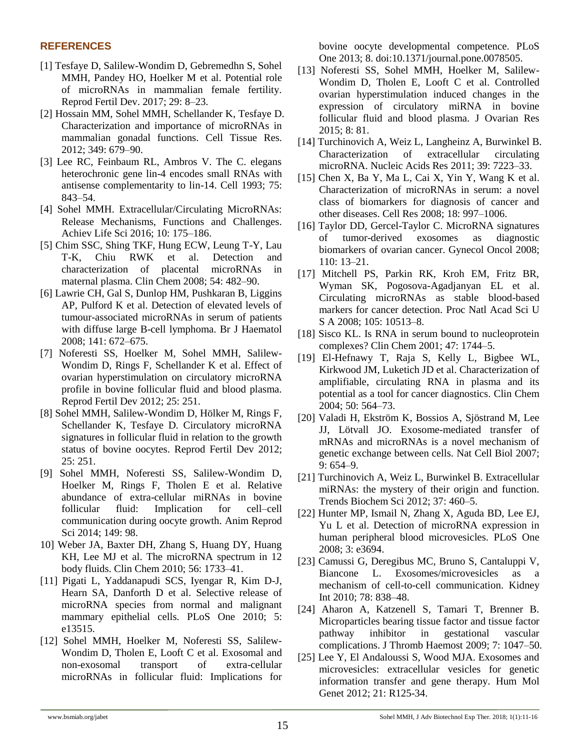#### **REFERENCES**

- [1] Tesfaye D, Salilew-Wondim D, Gebremedhn S, Sohel MMH, Pandey HO, Hoelker M et al. Potential role of microRNAs in mammalian female fertility. Reprod Fertil Dev. 2017; 29: 8–23.
- [2] Hossain MM, Sohel MMH, Schellander K, Tesfaye D. Characterization and importance of microRNAs in mammalian gonadal functions. Cell Tissue Res. 2012; 349: 679–90.
- [3] Lee RC, Feinbaum RL, Ambros V. The C. elegans heterochronic gene lin-4 encodes small RNAs with antisense complementarity to lin-14. Cell 1993; 75: 843–54.
- [4] Sohel MMH. Extracellular/Circulating MicroRNAs: Release Mechanisms, Functions and Challenges. Achiev Life Sci 2016; 10: 175–186.
- [5] Chim SSC, Shing TKF, Hung ECW, Leung T-Y, Lau T-K, Chiu RWK et al. Detection and characterization of placental microRNAs in maternal plasma. Clin Chem 2008; 54: 482–90.
- [6] Lawrie CH, Gal S, Dunlop HM, Pushkaran B, Liggins AP, Pulford K et al. Detection of elevated levels of tumour-associated microRNAs in serum of patients with diffuse large B-cell lymphoma. Br J Haematol 2008; 141: 672–675.
- [7] Noferesti SS, Hoelker M, Sohel MMH, Salilew-Wondim D, Rings F, Schellander K et al. Effect of ovarian hyperstimulation on circulatory microRNA profile in bovine follicular fluid and blood plasma. Reprod Fertil Dev 2012; 25: 251.
- [8] Sohel MMH, Salilew-Wondim D, Hölker M, Rings F, Schellander K, Tesfaye D. Circulatory microRNA signatures in follicular fluid in relation to the growth status of bovine oocytes. Reprod Fertil Dev 2012; 25: 251.
- [9] Sohel MMH, Noferesti SS, Salilew-Wondim D, Hoelker M, Rings F, Tholen E et al. Relative abundance of extra-cellular miRNAs in bovine follicular fluid: Implication for cell–cell communication during oocyte growth. Anim Reprod Sci 2014; 149: 98.
- 10] Weber JA, Baxter DH, Zhang S, Huang DY, Huang KH, Lee MJ et al. The microRNA spectrum in 12 body fluids. Clin Chem 2010; 56: 1733–41.
- [11] Pigati L, Yaddanapudi SCS, Iyengar R, Kim D-J, Hearn SA, Danforth D et al. Selective release of microRNA species from normal and malignant mammary epithelial cells. PLoS One 2010; 5: e13515.
- [12] Sohel MMH, Hoelker M, Noferesti SS, Salilew-Wondim D, Tholen E, Looft C et al. Exosomal and non-exosomal transport of extra-cellular microRNAs in follicular fluid: Implications for

bovine oocyte developmental competence. PLoS One 2013; 8. doi:10.1371/journal.pone.0078505.

- [13] Noferesti SS, Sohel MMH, Hoelker M, Salilew-Wondim D, Tholen E, Looft C et al. Controlled ovarian hyperstimulation induced changes in the expression of circulatory miRNA in bovine follicular fluid and blood plasma. J Ovarian Res 2015; 8: 81.
- [14] Turchinovich A, Weiz L, Langheinz A, Burwinkel B. Characterization of extracellular circulating microRNA. Nucleic Acids Res 2011; 39: 7223–33.
- [15] Chen X, Ba Y, Ma L, Cai X, Yin Y, Wang K et al. Characterization of microRNAs in serum: a novel class of biomarkers for diagnosis of cancer and other diseases. Cell Res 2008; 18: 997–1006.
- [16] Taylor DD, Gercel-Taylor C. MicroRNA signatures of tumor-derived exosomes as diagnostic biomarkers of ovarian cancer. Gynecol Oncol 2008; 110: 13–21.
- [17] Mitchell PS, Parkin RK, Kroh EM, Fritz BR, Wyman SK, Pogosova-Agadjanyan EL et al. Circulating microRNAs as stable blood-based markers for cancer detection. Proc Natl Acad Sci U S A 2008; 105: 10513–8.
- [18] Sisco KL. Is RNA in serum bound to nucleoprotein complexes? Clin Chem 2001; 47: 1744–5.
- [19] El-Hefnawy T, Raja S, Kelly L, Bigbee WL, Kirkwood JM, Luketich JD et al. Characterization of amplifiable, circulating RNA in plasma and its potential as a tool for cancer diagnostics. Clin Chem 2004; 50: 564–73.
- [20] Valadi H, Ekström K, Bossios A, Sjöstrand M, Lee JJ, Lötvall JO. Exosome-mediated transfer of mRNAs and microRNAs is a novel mechanism of genetic exchange between cells. Nat Cell Biol 2007; 9: 654–9.
- [21] Turchinovich A, Weiz L, Burwinkel B. Extracellular miRNAs: the mystery of their origin and function. Trends Biochem Sci 2012; 37: 460–5.
- [22] Hunter MP, Ismail N, Zhang X, Aguda BD, Lee EJ, Yu L et al. Detection of microRNA expression in human peripheral blood microvesicles. PLoS One 2008; 3: e3694.
- [23] Camussi G, Deregibus MC, Bruno S, Cantaluppi V, Biancone L. Exosomes/microvesicles as a mechanism of cell-to-cell communication. Kidney Int 2010; 78: 838–48.
- [24] Aharon A, Katzenell S, Tamari T, Brenner B. Microparticles bearing tissue factor and tissue factor pathway inhibitor in gestational vascular complications. J Thromb Haemost 2009; 7: 1047–50.
- [25] Lee Y, El Andaloussi S, Wood MJA. Exosomes and microvesicles: extracellular vesicles for genetic information transfer and gene therapy. Hum Mol Genet 2012; 21: R125-34.